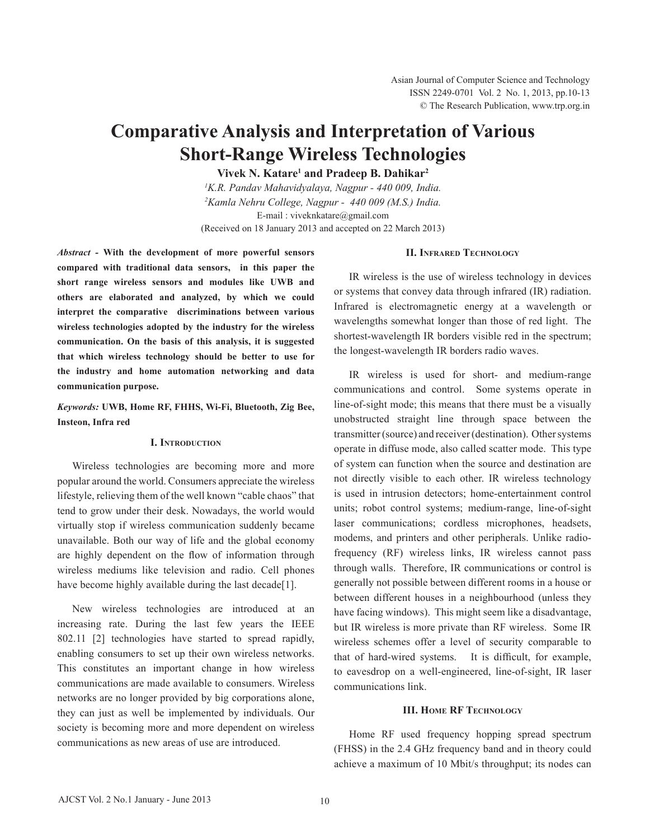# **Comparative Analysis and Interpretation of Various Short-Range Wireless Technologies**

**Vivek N. Katare1 and Pradeep B. Dahikar2**

*1 K.R. Pandav Mahavidyalaya, Nagpur - 440 009, India. 2 Kamla Nehru College, Nagpur - 440 009 (M.S.) India.* E-mail : viveknkatare@gmail.com (Received on 18 January 2013 and accepted on 22 March 2013)

*Abstract -* **With the development of more powerful sensors compared with traditional data sensors, in this paper the short range wireless sensors and modules like UWB and others are elaborated and analyzed, by which we could interpret the comparative discriminations between various wireless technologies adopted by the industry for the wireless communication. On the basis of this analysis, it is suggested that which wireless technology should be better to use for the industry and home automation networking and data communication purpose.** 

# *Keywords:* **UWB, Home RF, FHHS, Wi-Fi, Bluetooth, Zig Bee, Insteon, Infra red**

# **I. Introduction**

Wireless technologies are becoming more and more popular around the world. Consumers appreciate the wireless lifestyle, relieving them of the well known "cable chaos" that tend to grow under their desk. Nowadays, the world would virtually stop if wireless communication suddenly became unavailable. Both our way of life and the global economy are highly dependent on the flow of information through wireless mediums like television and radio. Cell phones have become highly available during the last decade[1].

New wireless technologies are introduced at an increasing rate. During the last few years the IEEE 802.11 [2] technologies have started to spread rapidly, enabling consumers to set up their own wireless networks. This constitutes an important change in how wireless communications are made available to consumers. Wireless networks are no longer provided by big corporations alone, they can just as well be implemented by individuals. Our society is becoming more and more dependent on wireless communications as new areas of use are introduced.

#### **II. Infrared Technology**

IR wireless is the use of wireless technology in devices or systems that convey data through infrared (IR) radiation. Infrared is electromagnetic energy at a wavelength or wavelengths somewhat longer than those of red light. The shortest-wavelength IR borders visible red in the spectrum; the longest-wavelength IR borders radio waves.

IR wireless is used for short- and medium-range communications and control. Some systems operate in line-of-sight mode; this means that there must be a visually unobstructed straight line through space between the transmitter (source) and receiver (destination). Other systems operate in diffuse mode, also called scatter mode. This type of system can function when the source and destination are not directly visible to each other. IR wireless technology is used in intrusion detectors; home-entertainment control units; robot control systems; medium-range, line-of-sight laser communications; cordless microphones, headsets, modems, and printers and other peripherals. Unlike radiofrequency (RF) wireless links, IR wireless cannot pass through walls. Therefore, IR communications or control is generally not possible between different rooms in a house or between different houses in a neighbourhood (unless they have facing windows). This might seem like a disadvantage, but IR wireless is more private than RF wireless. Some IR wireless schemes offer a level of security comparable to that of hard-wired systems. It is difficult, for example, to eavesdrop on a well-engineered, line-of-sight, IR laser communications link.

#### **III. Home RF Technology**

Home RF used frequency hopping spread spectrum (FHSS) in the 2.4 GHz frequency band and in theory could achieve a maximum of 10 Mbit/s throughput; its nodes can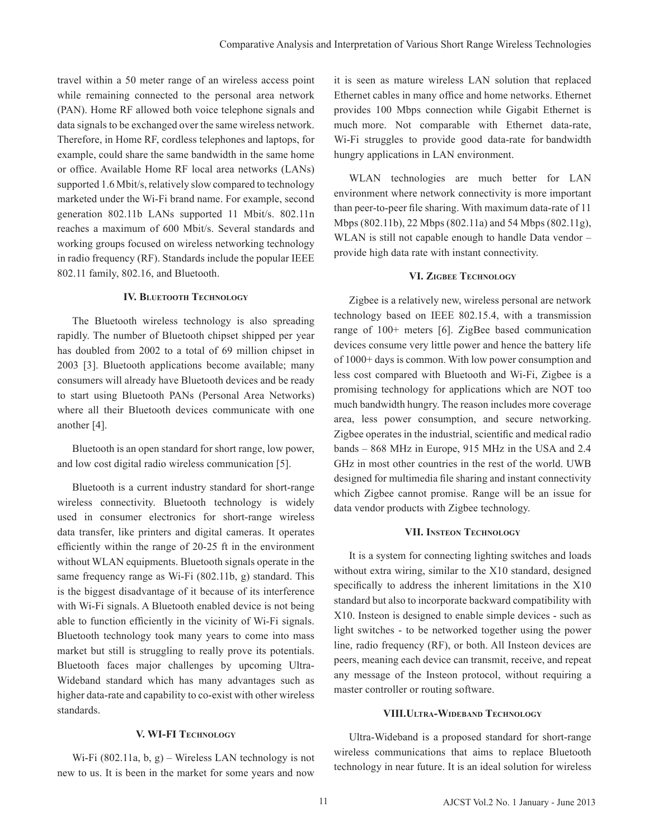travel within a 50 meter range of an wireless access point while remaining connected to the personal area network (PAN). Home RF allowed both voice telephone signals and data signals to be exchanged over the same wireless network. Therefore, in Home RF, cordless telephones and laptops, for example, could share the same bandwidth in the same home or office. Available Home RF local area networks (LANs) supported 1.6 Mbit/s, relatively slow compared to technology marketed under the Wi-Fi brand name. For example, second generation 802.11b LANs supported 11 Mbit/s. 802.11n reaches a maximum of 600 Mbit/s. Several standards and working groups focused on wireless networking technology in radio frequency (RF). Standards include the popular IEEE 802.11 family, 802.16, and Bluetooth.

## **IV. Bluetooth Technology**

The Bluetooth wireless technology is also spreading rapidly. The number of Bluetooth chipset shipped per year has doubled from 2002 to a total of 69 million chipset in 2003 [3]. Bluetooth applications become available; many consumers will already have Bluetooth devices and be ready to start using Bluetooth PANs (Personal Area Networks) where all their Bluetooth devices communicate with one another [4].

Bluetooth is an open standard for short range, low power, and low cost digital radio wireless communication [5].

Bluetooth is a current industry standard for short-range wireless connectivity. Bluetooth technology is widely used in consumer electronics for short-range wireless data transfer, like printers and digital cameras. It operates efficiently within the range of 20-25 ft in the environment without WLAN equipments. Bluetooth signals operate in the same frequency range as Wi-Fi (802.11b, g) standard. This is the biggest disadvantage of it because of its interference with Wi-Fi signals. A Bluetooth enabled device is not being able to function efficiently in the vicinity of Wi-Fi signals. Bluetooth technology took many years to come into mass market but still is struggling to really prove its potentials. Bluetooth faces major challenges by upcoming Ultra-Wideband standard which has many advantages such as higher data-rate and capability to co-exist with other wireless standards.

## **V. WI-FI Technology**

Wi-Fi (802.11a, b, g) – Wireless LAN technology is not new to us. It is been in the market for some years and now it is seen as mature wireless LAN solution that replaced Ethernet cables in many office and home networks. Ethernet provides 100 Mbps connection while Gigabit Ethernet is much more. Not comparable with Ethernet data-rate, Wi-Fi struggles to provide good data-rate for bandwidth hungry applications in LAN environment.

WLAN technologies are much better for LAN environment where network connectivity is more important than peer-to-peer file sharing. With maximum data-rate of 11 Mbps (802.11b), 22 Mbps (802.11a) and 54 Mbps (802.11g), WLAN is still not capable enough to handle Data vendor – provide high data rate with instant connectivity.

### **VI. Zigbee Technology**

Zigbee is a relatively new, wireless personal are network technology based on IEEE 802.15.4, with a transmission range of 100+ meters [6]. ZigBee based communication devices consume very little power and hence the battery life of 1000+ days is common. With low power consumption and less cost compared with Bluetooth and Wi-Fi, Zigbee is a promising technology for applications which are NOT too much bandwidth hungry. The reason includes more coverage area, less power consumption, and secure networking. Zigbee operates in the industrial, scientific and medical radio bands – 868 MHz in Europe, 915 MHz in the USA and 2.4 GHz in most other countries in the rest of the world. UWB designed for multimedia file sharing and instant connectivity which Zigbee cannot promise. Range will be an issue for data vendor products with Zigbee technology.

#### **VII. Insteon Technology**

It is a system for connecting lighting switches and loads without extra wiring, similar to the X10 standard, designed specifically to address the inherent limitations in the X10 standard but also to incorporate backward compatibility with X10. Insteon is designed to enable simple devices - such as light switches - to be networked together using the power line, radio frequency (RF), or both. All Insteon devices are peers, meaning each device can transmit, receive, and repeat any message of the Insteon protocol, without requiring a master controller or routing software.

#### **VIII.Ultra-Wideband Technology**

Ultra-Wideband is a proposed standard for short-range wireless communications that aims to replace Bluetooth technology in near future. It is an ideal solution for wireless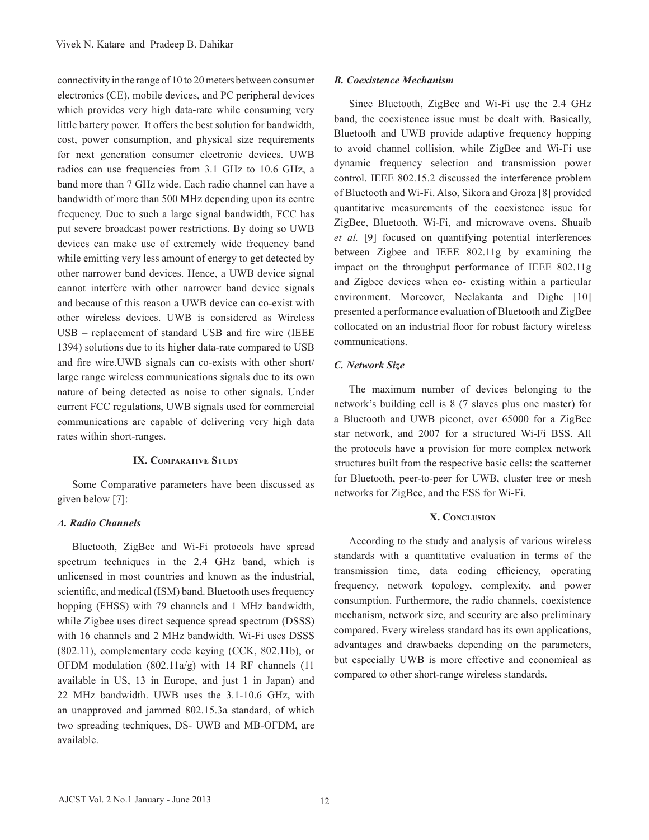connectivity in the range of 10 to 20 meters between consumer electronics (CE), mobile devices, and PC peripheral devices which provides very high data-rate while consuming very little battery power. It offers the best solution for bandwidth, cost, power consumption, and physical size requirements for next generation consumer electronic devices. UWB radios can use frequencies from 3.1 GHz to 10.6 GHz, a band more than 7 GHz wide. Each radio channel can have a bandwidth of more than 500 MHz depending upon its centre frequency. Due to such a large signal bandwidth, FCC has put severe broadcast power restrictions. By doing so UWB devices can make use of extremely wide frequency band while emitting very less amount of energy to get detected by other narrower band devices. Hence, a UWB device signal cannot interfere with other narrower band device signals and because of this reason a UWB device can co-exist with other wireless devices. UWB is considered as Wireless USB – replacement of standard USB and fire wire (IEEE 1394) solutions due to its higher data-rate compared to USB and fire wire.UWB signals can co-exists with other short/ large range wireless communications signals due to its own nature of being detected as noise to other signals. Under current FCC regulations, UWB signals used for commercial communications are capable of delivering very high data rates within short-ranges.

# **IX. Comparative Study**

 Some Comparative parameters have been discussed as given below [7]:

#### *A. Radio Channels*

Bluetooth, ZigBee and Wi-Fi protocols have spread spectrum techniques in the 2.4 GHz band, which is unlicensed in most countries and known as the industrial, scientific, and medical (ISM) band. Bluetooth uses frequency hopping (FHSS) with 79 channels and 1 MHz bandwidth, while Zigbee uses direct sequence spread spectrum (DSSS) with 16 channels and 2 MHz bandwidth. Wi-Fi uses DSSS (802.11), complementary code keying (CCK, 802.11b), or OFDM modulation (802.11a/g) with 14 RF channels (11 available in US, 13 in Europe, and just 1 in Japan) and 22 MHz bandwidth. UWB uses the 3.1-10.6 GHz, with an unapproved and jammed 802.15.3a standard, of which two spreading techniques, DS- UWB and MB-OFDM, are available.

#### *B. Coexistence Mechanism*

 Since Bluetooth, ZigBee and Wi-Fi use the 2.4 GHz band, the coexistence issue must be dealt with. Basically, Bluetooth and UWB provide adaptive frequency hopping to avoid channel collision, while ZigBee and Wi-Fi use dynamic frequency selection and transmission power control. IEEE 802.15.2 discussed the interference problem of Bluetooth and Wi-Fi. Also, Sikora and Groza [8] provided quantitative measurements of the coexistence issue for ZigBee, Bluetooth, Wi-Fi, and microwave ovens. Shuaib *et al.* [9] focused on quantifying potential interferences between Zigbee and IEEE 802.11g by examining the impact on the throughput performance of IEEE 802.11g and Zigbee devices when co- existing within a particular environment. Moreover, Neelakanta and Dighe [10] presented a performance evaluation of Bluetooth and ZigBee collocated on an industrial floor for robust factory wireless communications.

# *C. Network Size*

 The maximum number of devices belonging to the network's building cell is 8 (7 slaves plus one master) for a Bluetooth and UWB piconet, over 65000 for a ZigBee star network, and 2007 for a structured Wi-Fi BSS. All the protocols have a provision for more complex network structures built from the respective basic cells: the scatternet for Bluetooth, peer-to-peer for UWB, cluster tree or mesh networks for ZigBee, and the ESS for Wi-Fi.

#### **X. Conclusion**

According to the study and analysis of various wireless standards with a quantitative evaluation in terms of the transmission time, data coding efficiency, operating frequency, network topology, complexity, and power consumption. Furthermore, the radio channels, coexistence mechanism, network size, and security are also preliminary compared. Every wireless standard has its own applications, advantages and drawbacks depending on the parameters, but especially UWB is more effective and economical as compared to other short-range wireless standards.